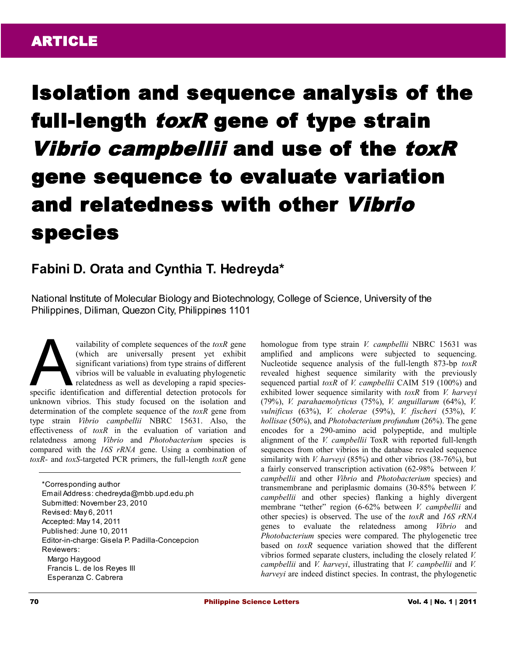# Isolation and sequence analysis of the full-length *toxR* gene of type strain Vibrio campbellii and use of the toxR gene sequence to evaluate variation and relatedness with other Vibrio species

# **Fabini D. Orata and Cynthia T. Hedreyda\***

National Institute of Molecular Biology and Biotechnology, College of Science, University of the Philippines, Diliman, Quezon City, Philippines 1101

vailability of complete sequences of the *toxR* gene (which are universally present yet exhibit significant variations) from type strains of different vibrios will be valuable in evaluating phylogenetic relatedness as well as developing a rapid speciesvailability of complete sequences of the *toxR* gene<br>(which are universally present yet exhibit<br>significant variations) from type strains of different<br>vibrios will be valuable in evaluating phylogenetic<br>relatedness as well unknown vibrios. This study focused on the isolation and determination of the complete sequence of the *toxR* gene from type strain *Vibrio campbellii* NBRC 15631. Also, the effectiveness of *toxR* in the evaluation of variation and relatedness among *Vibrio* and *Photobacterium* species is compared with the *16S rRNA* gene. Using a combination of *toxR-* and *toxS*-targeted PCR primers, the full-length *toxR* gene

\*Corresponding author Email Address: chedreyda@mbb.upd.edu.ph Submitted: November 23, 2010 Revised: May 6, 2011 Accepted: May 14, 2011 Published: June 10, 2011 Editor-in-charge: Gisela P. Padilla-Concepcion Reviewers: Margo Haygood Francis L. de los Reyes III Esperanza C. Cabrera

homologue from type strain *V. campbellii* NBRC 15631 was amplified and amplicons were subjected to sequencing. Nucleotide sequence analysis of the full-length 873-bp *toxR* revealed highest sequence similarity with the previously sequenced partial *toxR* of *V. campbellii* CAIM 519 (100%) and exhibited lower sequence similarity with *toxR* from *V. harveyi* (79%), *V. parahaemolyticus* (75%), *V. anguillarum* (64%), *V. vulnificus* (63%), *V. cholerae* (59%), *V. fischeri* (53%), *V. hollisae* (50%), and *Photobacterium profundum* (26%). The gene encodes for a 290-amino acid polypeptide, and multiple alignment of the *V. campbellii* ToxR with reported full-length sequences from other vibrios in the database revealed sequence similarity with *V. harveyi* (85%) and other vibrios (38-76%), but a fairly conserved transcription activation (62-98% between *V. campbellii* and other *Vibrio* and *Photobacterium* species) and transmembrane and periplasmic domains (30-85% between *V. campbellii* and other species) flanking a highly divergent membrane "tether" region (6-62% between *V. campbellii* and other species) is observed. The use of the *toxR* and *16S rRNA* genes to evaluate the relatedness among *Vibrio* and *Photobacterium* species were compared. The phylogenetic tree based on *toxR* sequence variation showed that the different vibrios formed separate clusters, including the closely related *V. campbellii* and *V. harveyi*, illustrating that *V. campbellii* and *V. harveyi* are indeed distinct species. In contrast, the phylogenetic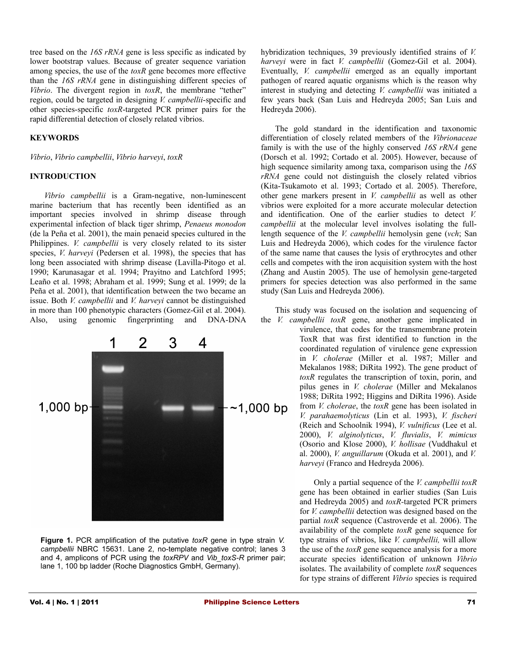tree based on the *16S rRNA* gene is less specific as indicated by lower bootstrap values. Because of greater sequence variation among species, the use of the *toxR* gene becomes more effective than the *16S rRNA* gene in distinguishing different species of *Vibrio*. The divergent region in *toxR*, the membrane "tether" region, could be targeted in designing *V. campbellii*-specific and other species-specific *toxR*-targeted PCR primer pairs for the rapid differential detection of closely related vibrios.

### **KEYWORDS**

*Vibrio*, *Vibrio campbellii*, *Vibrio harveyi*, *toxR*

#### **INTRODUCTION**

*Vibrio campbellii* is a Gram-negative, non-luminescent marine bacterium that has recently been identified as an important species involved in shrimp disease through experimental infection of black tiger shrimp, *Penaeus monodon* (de la Peña et al. 2001), the main penaeid species cultured in the Philippines. *V. campbellii* is very closely related to its sister species, *V*. *harveyi* (Pedersen et al. 1998), the species that has long been associated with shrimp disease (Lavilla-Pitogo et al. 1990; Karunasagar et al. 1994; Prayitno and Latchford 1995; Leaño et al. 1998; Abraham et al. 1999; Sung et al. 1999; de la Peña et al. 2001), that identification between the two became an issue. Both *V. campbellii* and *V. harveyi* cannot be distinguished in more than 100 phenotypic characters (Gomez-Gil et al. 2004). Also, using genomic fingerprinting and DNA-DNA



**Figure 1.** PCR amplification of the putative *toxR* gene in type strain *V. campbellii* NBRC 15631. Lane 2, no-template negative control; lanes 3 and 4, amplicons of PCR using the *toxRPV* and *Vib\_toxS-R* primer pair; lane 1, 100 bp ladder (Roche Diagnostics GmbH, Germany).

hybridization techniques, 39 previously identified strains of *V. harveyi* were in fact *V. campbellii* (Gomez-Gil et al. 2004). Eventually, *V. campbellii* emerged as an equally important pathogen of reared aquatic organisms which is the reason why interest in studying and detecting *V. campbellii* was initiated a few years back (San Luis and Hedreyda 2005; San Luis and Hedreyda 2006).

The gold standard in the identification and taxonomic differentiation of closely related members of the *Vibrionaceae* family is with the use of the highly conserved *16S rRNA* gene (Dorsch et al. 1992; Cortado et al. 2005). However, because of high sequence similarity among taxa, comparison using the *16S rRNA* gene could not distinguish the closely related vibrios (Kita-Tsukamoto et al. 1993; Cortado et al. 2005). Therefore, other gene markers present in *V. campbellii* as well as other vibrios were exploited for a more accurate molecular detection and identification. One of the earlier studies to detect *V. campbellii* at the molecular level involves isolating the fulllength sequence of the *V. campbellii* hemolysin gene (*vch*; San Luis and Hedreyda 2006), which codes for the virulence factor of the same name that causes the lysis of erythrocytes and other cells and competes with the iron acquisition system with the host (Zhang and Austin 2005). The use of hemolysin gene-targeted primers for species detection was also performed in the same study (San Luis and Hedreyda 2006).

This study was focused on the isolation and sequencing of the *V. campbellii toxR* gene, another gene implicated in virulence, that codes for the transmembrane protein

ToxR that was first identified to function in the coordinated regulation of virulence gene expression in *V. cholerae* (Miller et al. 1987; Miller and Mekalanos 1988; DiRita 1992). The gene product of *toxR* regulates the transcription of toxin, porin, and pilus genes in *V. cholerae* (Miller and Mekalanos 1988; DiRita 1992; Higgins and DiRita 1996). Aside from *V. cholerae*, the *toxR* gene has been isolated in *V. parahaemolyticus* (Lin et al. 1993), *V. fischeri* (Reich and Schoolnik 1994), *V. vulnificus* (Lee et al. 2000), *V. alginolyticus*, *V. fluvialis*, *V. mimicus* (Osorio and Klose 2000), *V. hollisae* (Vuddhakul et al. 2000), *V. anguillarum* (Okuda et al. 2001), and *V. harveyi* (Franco and Hedreyda 2006).

Only a partial sequence of the *V. campbellii toxR* gene has been obtained in earlier studies (San Luis and Hedreyda 2005) and *toxR-*targeted PCR primers for *V. campbellii* detection was designed based on the partial *toxR* sequence (Castroverde et al. 2006). The availability of the complete *toxR* gene sequence for type strains of vibrios, like *V. campbellii,* will allow the use of the *toxR* gene sequence analysis for a more accurate species identification of unknown *Vibrio* isolates. The availability of complete *toxR* sequences for type strains of different *Vibrio* species is required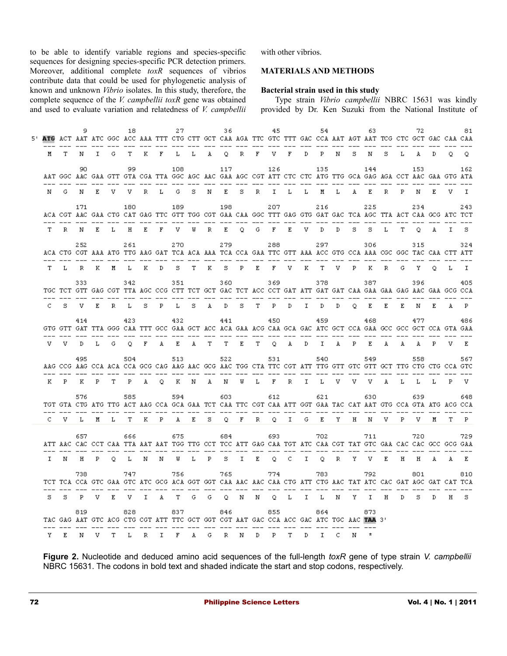to be able to identify variable regions and species-specific sequences for designing species-specific PCR detection primers. Moreover, additional complete *toxR* sequences of vibrios contribute data that could be used for phylogenetic analysis of known and unknown *Vibrio* isolates. In this study, therefore, the complete sequence of the *V. campbellii toxR* gene was obtained and used to evaluate variation and relatedness of *V. campbellii* with other vibrios.

## **MATERIALS AND METHODS**

#### **Bacterial strain used in this study**

Type strain *Vibrio campbellii* NBRC 15631 was kindly provided by Dr. Ken Suzuki from the National Institute of

|              |   |         |   |   | 18.     |   |                                                                                                                                                                                                                                |              |   |    | 36. |   | - 45 |   |    | 54  |                | 63.                                   |       |       | 72    |       |    | 81           |
|--------------|---|---------|---|---|---------|---|--------------------------------------------------------------------------------------------------------------------------------------------------------------------------------------------------------------------------------|--------------|---|----|-----|---|------|---|----|-----|----------------|---------------------------------------|-------|-------|-------|-------|----|--------------|
|              |   |         |   |   |         |   | 5' ATG ACT AAT ATC GGC ACC AAA TTT CTG CTT GCT CAA AGA TTC GTC TTT GAC CCA AAT AGT AAT TCG CTC GCT GAC CAA CAA                                                                                                                 |              |   |    |     |   |      |   |    |     |                |                                       |       |       |       |       |    |              |
| м            | т | N       |   |   |         |   | I G T K F L L A Q R F V F D P N S                                                                                                                                                                                              |              |   |    |     |   |      |   |    |     |                |                                       | N S L |       | A D   |       |    | $Q$ $Q$      |
|              |   | 90.     |   |   | 99      |   | AAT GGC AAC GAA GTT GTA CGA TTA GGC AGC AAC GAA AGC CGT ATT CTC CTC ATG TTG GCA GAG AGA CCT AAC GAA GTG ATA                                                                                                                    | 108          |   |    | 117 |   | 126  |   |    | 135 |                | 144                                   |       |       | 153   |       |    | 162          |
| N.           |   |         |   |   |         |   | G N E V V R L G S N E S R I L L M L A E R P N                                                                                                                                                                                  |              |   |    |     |   |      |   |    |     |                |                                       |       |       |       | $E =$ | v. | $\mathbf{I}$ |
|              |   | 171     |   |   | 180     |   | ACA CGT AAC GAA CTG CAT GAG TTC GTT TGG CGT GAA CAA GGC TTT GAG GTG GAT GAC TCA AGC TTA ACT CAA GCG ATC TCT<br>--- --- --- --- --- --- --- --- --- --- --- --- --- --- --- --- --- --- --- --- --- --- --- --- --- --- --- --- | 189          |   |    | 198 |   | 207  |   |    | 216 |                | 225                                   |       |       |       |       |    | 243          |
|              |   |         |   |   |         |   | T R N E L H E F V W R E O G F E V D D S S L T O A I S                                                                                                                                                                          |              |   |    |     |   |      |   |    |     |                |                                       |       |       |       |       |    |              |
|              |   | 252     |   |   | 261     |   | ACA CTG CGT AAA ATG TTG AAG GAT TCA ACA AAA TCA CCA GAA TTC GTT AAA ACC GTG CCA AAA CGC GGC TAC CAA CTT ATT                                                                                                                    | 270          |   |    | 279 |   | 288  |   |    | 297 |                | 306                                   |       |       | 315   |       |    | 324          |
|              |   | TLRK    |   |   | M L K D |   |                                                                                                                                                                                                                                |              |   |    |     |   |      |   |    |     |                | S T K S P E F V K T V P K R G Y O L I |       |       |       |       |    |              |
|              |   | 333     |   |   | 342     |   | TGC TCT GTT GAG CGT TTA AGC CCG CTT TCT GCT GAC TCT ACC CCT GAT ATT GAT GAT CAA GAA GAA GAG AAC GAA GCG CCA                                                                                                                    | 351          |   |    | 360 |   | 369  |   |    | 378 |                | 387                                   |       |       | 396   |       |    | 405          |
|              |   |         |   |   |         |   | C S V E R L S P L S A D S T P D I D D O E E E N E A P                                                                                                                                                                          |              |   |    |     |   |      |   |    |     |                |                                       |       |       |       |       |    |              |
|              |   | 414     |   |   | 423     |   | GTG GTT GAT TTA GGG CAA TTT GCC GAA GCT ACC ACA GAA ACG CAA GCA GAC ATC GCT CCA GAA GCC GCC GCT CCA GTA GAA                                                                                                                    | 432          |   |    | 441 |   | 450  |   |    | 459 |                | 468                                   |       |       | 477   |       |    | 486          |
|              |   | V V D L |   |   |         |   | G Q F A E A T T E T Q A D I A P E A                                                                                                                                                                                            |              |   |    |     |   |      |   |    |     |                |                                       |       | A A P |       |       |    | $V = E$      |
|              |   | 495     |   |   | 504     |   | AAG CCG AAG CCA ACA CCA GCG CAG AAG AAC GCG AAC TGG CTA TTC CGT ATT TTG GTT GTC GTT GCT TTG CTG CTG CCA GTC                                                                                                                    | 513          |   |    | 522 |   | 531  |   |    | 540 |                | 549                                   |       |       | 558   |       |    | 567          |
|              |   |         |   |   |         |   | K P K P T P A Q K N A N W L F R I L V V V A L L L P V                                                                                                                                                                          |              |   |    |     |   |      |   |    |     |                |                                       |       |       |       |       |    |              |
|              |   | 576     |   |   | 585     |   | TGT GTA CTG ATG TTG ACT AAG CCA GCA GAA TCT CAA TTC CGT CAA ATT GGT GAA TAC CAT AAT GTG CCA GTA ATG ACG CCA                                                                                                                    | 594          |   |    | 603 |   | 612  |   |    | 621 |                | 630                                   |       |       | 639   |       |    | 648          |
| $\mathbf{C}$ |   | V L M   |   |   |         |   | L T K P A E S Q F R Q I G E Y H N V P V M                                                                                                                                                                                      |              |   |    |     |   |      |   |    |     |                |                                       |       |       |       |       |    | T P          |
|              |   | 657     |   |   | 666     |   | ATT AAC CAC CCT CAA TTA AAT AAT TGG TTG CCT TCC ATT GAG CAA TGT ATC CAA CGT TAT GTC GAA CAC CAC GCC GCG GAA                                                                                                                    | 675          |   |    | 684 |   | 693  |   |    | 702 |                | 711                                   |       |       | - 720 |       |    | 729          |
|              |   |         |   |   |         |   | I N H P Q L N N W L P S I E Q C I Q R Y V E H H A A E                                                                                                                                                                          |              |   |    |     |   |      |   |    |     |                |                                       |       |       |       |       |    |              |
|              |   | 738     |   |   | 747     |   | TCT TCA CCA GTC GAA GTC ATC GCG ACA GGT GGT CAA AAC AAC CAA CTG ATT CTG AAC TAT ATC CAC GAT AGC GAT CAT TCA                                                                                                                    | 756          |   |    | 765 |   | 774  |   |    | 783 |                | 792                                   |       |       | 801   |       |    | 810          |
| S.           |   | S P V   |   |   | E V     |   | I A T G G Q N N Q L I L N Y I H                                                                                                                                                                                                |              |   |    |     |   |      |   |    |     |                |                                       |       |       | DS D  |       |    | $H$ $S$      |
|              |   | 819     |   |   | 828     |   | TAC GAG AAT GTC ACG CTG CGT ATT TTC GCT GGT CGT AAT GAC CCA ACC GAC ATC TGC AAC TAA 3'                                                                                                                                         | 837          |   |    | 846 |   | 855  |   |    | 864 |                | 873                                   |       |       |       |       |    |              |
| Y            | E | N       | v | т | L       | R | Ι.                                                                                                                                                                                                                             | $\mathbf{F}$ | A | G. | R N | D | P.   | т | D. | T.  | $\mathbf{C}$ . |                                       |       |       |       |       |    |              |

**Figure 2.** Nucleotide and deduced amino acid sequences of the full-length *toxR* gene of type strain *V. campbellii* NBRC 15631. The codons in bold text and shaded indicate the start and stop codons, respectively.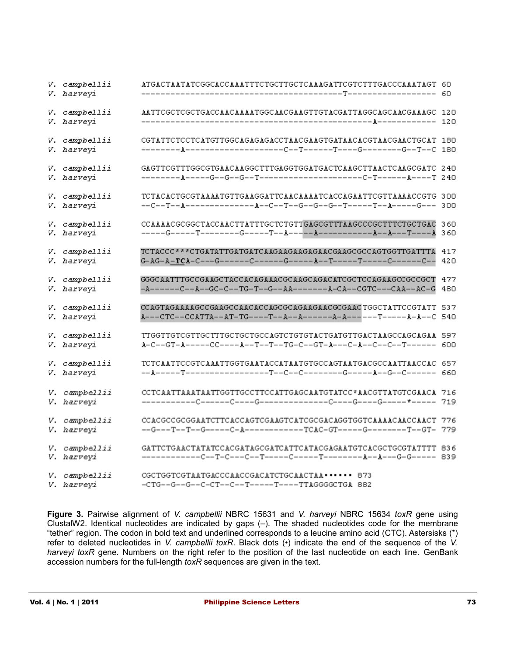| V. campbellii<br>V. harveyi | ATGACTAATATCGGCACCAAATTTCTGCTTGCTCAAAGATTCGTCTTTGACCCAAATAGT 60                                                                       |     |
|-----------------------------|---------------------------------------------------------------------------------------------------------------------------------------|-----|
| V. campbellii<br>V. harveyi | AATTCGCTCGCTGACCAACAAAATGGCAACGAAGTTGTACGATTAGGCAGCAACGAAAGC 120                                                                      |     |
| V. campbellii<br>V. harveyi | CGTATTCTCCTCATGTTGGCAGAGAGACCTAACGAAGTGATAACACGTAACGAACTGCAT 180                                                                      |     |
| V. campbellii<br>V. harveyi | GAGTTCGTTTGGCGTGAACAAGGCTTTGAGGTGGATGACTCAAGCTTAACTCAAGCGATC 240                                                                      |     |
| V. campbellii<br>V. harveyi | TCTACACTGCGTAAAATGTTGAAGGATTCAACAAAATCACCAGAATTCGTTAAAACCGTG 300<br>--C--T--A----------------A--C--T--G--G--T------T--A-----G--- 300  |     |
| V. campbellii<br>V. harveyi | CCAAAACGCGGCTACCAACTTATTTGCTCTGTTGAGCGTTTAAGCCCGCTTTCTGCTGAC                                                                          | 360 |
| V. campbellii<br>V. harveyi | TCTACCC***CTGATATTGATGATCAAGAAGAAGAAGGAAGCGCCAGTGGTTGATTTA 417<br>G-AG-A-TCA-C---G------C------G------A--T-----T-----C------C--       | 420 |
| V. campbellii<br>V. harveyi | GGGCAATTTGCCGAAGCTACCACAGAAACGCAAGCAGACATCGCTCCAGAAGCCGCCGCT 477<br>-A------C--A--GC-C--TG-T--G--AA--------A-CA--CGTC---CAA--AC-G     | 480 |
| V. campbellii<br>V. harveyi | CCAGTAGAAAAGCCGAAGCCAACACCAGCGCAGAAGAACGCGAACTGGCTATTCCGTATT 537<br>A---CTC--CCATTA--AT-TG----T--A--A-------A-A-----T------A-A--C 540 |     |
| V. campbellii<br>V. harveyi | TTGGTTGTCGTTGCTTTGCTGCTGCCAGTCTGTGTACTGATGTTGACTAAGCCAGCAGAA 597<br>A-C--GT-A-----CC----A--T--T--TG-C--GT-A---C-A--C--C--T------ 600  |     |
| V. campbellii<br>V. harveyi | TCTCAATTCCGTCAAATTGGTGAATACCATAATGTGCCAGTAATGACGCCAATTAACCAC 657                                                                      |     |
| V. campbellii<br>V. harveyi | CCTCAATTAAATAATTGGTTGCCTTCCATTGAGCAATGTATCC*AACGTTATGTCGAACA 716                                                                      |     |
| V. campbellii<br>V. harveyi | --G---T--T--G-----C-A-----------TCAC-GT-----G-------T--GT- 779                                                                        |     |
| V. campbellii<br>V. harveyi | GATTCTGAACTATATCCACGATAGCGATCATTCATACGAGAATGTCACGCTGCGTATTTT 836                                                                      |     |
| V. campbellii<br>V. harveyi | CGCTGGTCGTAATGACCCAACCGACATCTGCAACTAA · · · · · · 873<br>-CTG--G--G--C-CT--C--T-----T----TTAGGGGCTGA 882                              |     |

**Figure 3.** Pairwise alignment of *V. campbellii* NBRC 15631 and *V. harveyi* NBRC 15634 *toxR* gene using ClustalW2. Identical nucleotides are indicated by gaps (–). The shaded nucleotides code for the membrane "tether" region. The codon in bold text and underlined corresponds to a leucine amino acid (CTC). Astersisks (\*) refer to deleted nucleotides in *V. campbellii toxR*. Black dots (•) indicate the end of the sequence of the *V.* harveyi toxR gene. Numbers on the right refer to the position of the last nucleotide on each line. GenBank accession numbers for the full-length *toxR* sequences are given in the text.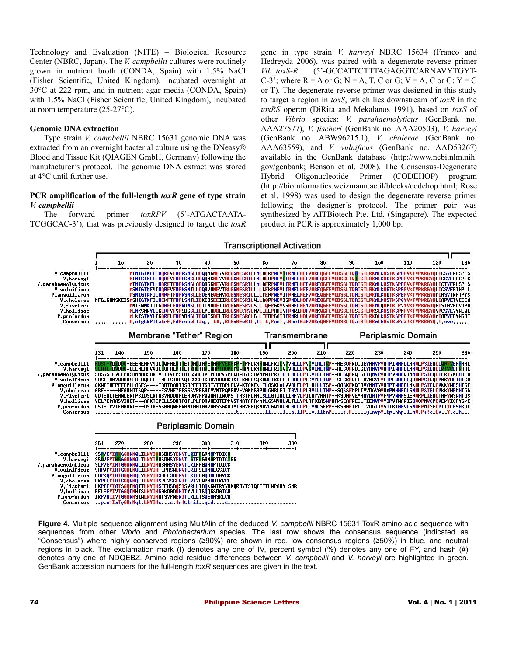Technology and Evaluation (NITE) – Biological Resource Center (NBRC, Japan). The *V. campbellii* cultures were routinely grown in nutrient broth (CONDA, Spain) with 1.5% NaCl (Fisher Scientific, United Kingdom), incubated overnight at 30°C at 222 rpm, and in nutrient agar media (CONDA, Spain) with 1.5% NaCl (Fisher Scientific, United Kingdom), incubated at room temperature (25-27°C).

#### **Genomic DNA extraction**

Type strain *V. campbellii* NBRC 15631 genomic DNA was extracted from an overnight bacterial culture using the DNeasy® Blood and Tissue Kit (QIAGEN GmbH, Germany) following the manufacturer's protocol. The genomic DNA extract was stored at 4°C until further use.

### **PCR amplification of the full-length** *toxR* **gene of type strain** *V. campbellii*

The forward primer *toxRPV* (5'-ATGACTAATA-TCGGCAC-3'), that was previously designed to target the *toxR* gene in type strain *V. harveyi* NBRC 15634 (Franco and Hedreyda 2006), was paired with a degenerate reverse primer *Vib\_toxS-R* (5'-GCCATTCTTTAGAGGTCARNAVYTGYT-C-3'; where  $R = A$  or G;  $N = A$ , T, C or G;  $V = A$ , C or G;  $Y = C$ or T). The degenerate reverse primer was designed in this study to target a region in *toxS*, which lies downstream of *toxR* in the *toxRS* operon (DiRita and Mekalanos 1991), based on *toxS* of other *Vibrio* species: *V. parahaemolyticus* (GenBank no. AAA27577), *V. fischeri* (GenBank no. AAA20503), *V. harveyi* (GenBank no. ABW96215.1), *V. cholerae* (GenBank no. AAA63559), and *V. vulnificus* (GenBank no. AAD53267) available in the GenBank database (http://www.ncbi.nlm.nih. gov/genbank; Benson et al. 2008). The Consensus-Degenerate Hybrid Oligonucleotide Primer (CODEHOP) program (http://bioinformatics.weizmann.ac.il/blocks/codehop.html; Rose et al. 1998) was used to design the degenerate reverse primer following the designer's protocol. The primer pair was synthesized by AITBiotech Pte. Ltd. (Singapore). The expected product in PCR is approximately 1,000 bp.



**Figure 4.** Multiple sequence alignment using MultAlin of the deduced *V. campbellii* NBRC 15631 ToxR amino acid sequence with sequences from other *Vibrio* and *Photobacterium* species. The last row shows the consensus sequence (indicated as "Consensus") where highly conserved regions (≥90%) are shown in red, low consensus regions (≥50%) in blue, and neutral regions in black. The exclamation mark (!) denotes any one of IV, percent symbol (%) denotes any one of FY, and hash (#) denotes any one of NDQEBZ. Amino acid residue differences between *V. campbellii* and *V. harveyi* are highlighted in green. GenBank accession numbers for the full-length *toxR* sequences are given in the text.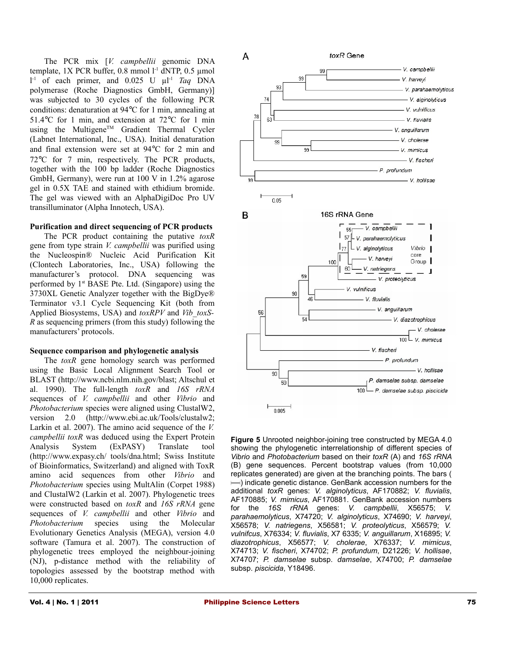The PCR mix [*V. campbellii* genomic DNA template, 1X PCR buffer, 0.8 mmol  $1<sup>-1</sup>$  dNTP, 0.5 µmol  $1^{-1}$  of each primer, and 0.025 U  $\mu$ 1<sup>-1</sup> *Taq* DNA polymerase (Roche Diagnostics GmbH, Germany)] was subjected to 30 cycles of the following PCR conditions: denaturation at 94°C for 1 min, annealing at 51.4°C for 1 min, and extension at 72°C for 1 min using the Multigene™ Gradient Thermal Cycler (Labnet International, Inc., USA). Initial denaturation and final extension were set at 94°C for 2 min and 72°C for 7 min, respectively. The PCR products, together with the 100 bp ladder (Roche Diagnostics GmbH, Germany), were run at 100 V in 1.2% agarose gel in 0.5X TAE and stained with ethidium bromide. The gel was viewed with an AlphaDigiDoc Pro UV transilluminator (Alpha Innotech, USA).

#### **Purification and direct sequencing of PCR products**

The PCR product containing the putative *toxR* gene from type strain *V. campbellii* was purified using the Nucleospin® Nucleic Acid Purification Kit (Clontech Laboratories, Inc., USA) following the manufacturer's protocol. DNA sequencing was performed by  $1<sup>st</sup>$  BASE Pte. Ltd. (Singapore) using the 3730XL Genetic Analyzer together with the BigDye® Terminator v3.1 Cycle Sequencing Kit (both from Applied Biosystems, USA) and *toxRPV* and *Vib\_toxS-R* as sequencing primers (from this study) following the manufacturers' protocols.

#### **Sequence comparison and phylogenetic analysis**

The *toxR* gene homology search was performed using the Basic Local Alignment Search Tool or BLAST (http://www.ncbi.nlm.nih.gov/blast; Altschul et al. 1990). The full-length *toxR* and *16S rRNA* sequences of *V. campbellii* and other *Vibrio* and *Photobacterium* species were aligned using ClustalW2, version 2.0 (http://www.ebi.ac.uk/Tools/clustalw2; Larkin et al. 2007). The amino acid sequence of the *V. campbellii toxR* was deduced using the Expert Protein Analysis System (ExPASY) Translate tool (http://www.expasy.ch/ tools/dna.html; Swiss Institute of Bioinformatics, Switzerland) and aligned with ToxR amino acid sequences from other *Vibrio* and *Photobacterium* species using MultAlin (Corpet 1988) and ClustalW2 (Larkin et al. 2007). Phylogenetic trees were constructed based on *toxR* and *16S rRNA* gene sequences of *V. campbellii* and other *Vibrio* and *Photobacterium* species using the Molecular Evolutionary Genetics Analysis (MEGA), version 4.0 software (Tamura et al. 2007). The construction of phylogenetic trees employed the neighbour-joining (NJ), p-distance method with the reliability of topologies assessed by the bootstrap method with 10,000 replicates.



**Figure 5** Unrooted neighbor-joining tree constructed by MEGA 4.0 showing the phylogenetic interrelationship of different species of *Vibrio* and *Photobacterium* based on their *toxR* (A) and *16S rRNA* (B) gene sequences. Percent bootstrap values (from 10,000 replicates generated) are given at the branching points. The bars (  $\leftarrow$ ) indicate genetic distance. GenBank accession numbers for the additional *toxR* genes: *V. alginolyticus*, AF170882; *V. fluvialis*, AF170885; *V. mimicus*, AF170881. GenBank accession numbers for the *16S rRNA* genes: *V. campbellii*, X56575; *V. parahaemolyticus*, X74720; *V. alginolyticus*, X74690; *V. harveyi*, X56578; *V. natriegens*, X56581; *V. proteolyticus*, X56579; *V. vulnifcus*, X76334; *V. fluvialis*, X7 6335; *V. anguillarum*, X16895; *V. diazotrophicus*, X56577; *V. cholerae*, X76337; *V. mimicus*, X74713; *V. fischeri*, X74702; *P. profundum*, D21226; *V. hollisae*, X74707; *P. damselae* subsp. *damselae*, X74700; *P. damselae* subsp. *piscicida*, Y18496.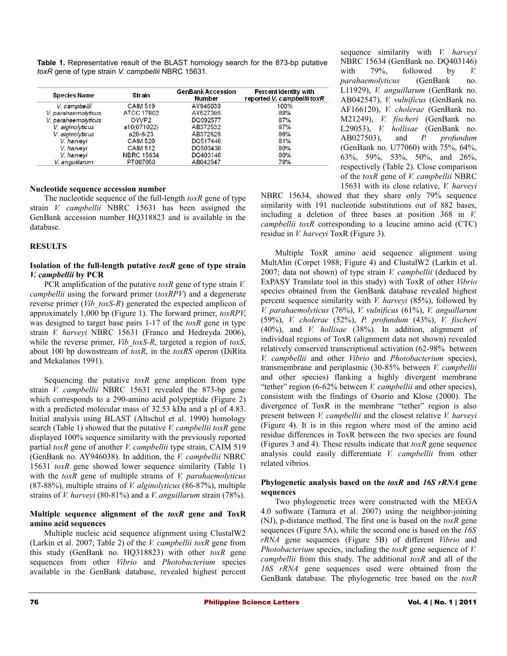**Table 1.** Representative result of the BLAST homology search for the 873-bp putative *toxR* gene of type strain *V. campbellii* NBRC 15631.

| <b>Species Name</b> | Strain            | <b>GenBank Accession</b><br>Number | <b>Percent Identity with</b><br>reported V. campbellii toxR |  |  |  |
|---------------------|-------------------|------------------------------------|-------------------------------------------------------------|--|--|--|
| V. campbellii       | <b>CAIM 519</b>   | AY946038                           | 100%                                                        |  |  |  |
| V. parahaemolyticus | ATCC 17802        | AY527396                           | 88%                                                         |  |  |  |
| V. parahaemolyticus | OWP <sub>2</sub>  | DQ092577                           | 87%                                                         |  |  |  |
| V. alginolyticus    | a10(071022)       | AB372532                           | 87%                                                         |  |  |  |
| V. alginolyticus    | a20-6-23          | AB372526                           | 86%                                                         |  |  |  |
| V. harveyi          | <b>CAIM 520</b>   | DO517446                           | 81%                                                         |  |  |  |
| V. harvevi          | <b>CAIM 512</b>   | DO503438                           | 80%                                                         |  |  |  |
| V. harveyi          | <b>NBRC 15634</b> | DQ403146                           | 80%                                                         |  |  |  |
| V. anguillarum      | PT087050          | AB042547                           | 78%                                                         |  |  |  |

#### **Nucleotide sequence accession number**

The nucleotide sequence of the full-length *toxR* gene of type strain *V. campbellii* NBRC 15631 has been assigned the GenBank accession number HQ318823 and is available in the database.

#### **RESULTS**

#### **Isolation of the full-length putative** *toxR* **gene of type strain** *V. campbellii* **by PCR**

PCR amplification of the putative *toxR* gene of type strain *V. campbellii* using the forward primer (*toxRPV*) and a degenerate reverse primer (*Vib\_toxS-R*) generated the expected amplicon of approximately 1,000 bp (Figure 1). The forward primer, *toxRPV*, was designed to target base pairs 1-17 of the *toxR* gene in type strain *V. harveyi* NBRC 15631 (Franco and Hedreyda 2006), while the reverse primer, *Vib\_toxS-R*, targeted a region of *toxS*, about 100 bp downstream of *toxR*, in the *toxRS* operon (DiRita and Mekalanos 1991).

Sequencing the putative *toxR* gene amplicon from type strain *V. campbellii* NBRC 15631 revealed the 873-bp gene which corresponds to a 290-amino acid polypeptide (Figure 2) with a predicted molecular mass of 32.53 kDa and a pI of 4.83. Initial analysis using BLAST (Altschul et al. 1990) homology search (Table 1) showed that the putative *V. campbellii toxR* gene displayed 100% sequence similarity with the previously reported partial *toxR* gene of another *V. campbellii* type strain, CAIM 519 (GenBank no. AY946038). In addition, the *V. campbellii* NBRC 15631 *toxR* gene showed lower sequence similarity (Table 1) with the *toxR* gene of multiple strains of *V. parahaemolyticus* (87-88%), multiple strains of *V. alginolyticus* (86-87%), multiple strains of *V. harveyi* (80-81%) and a *V. anguillarum* strain (78%).

#### **Multiple sequence alignment of the** *toxR* **gene and ToxR amino acid sequences**

Multiple nucleic acid sequence alignment using ClustalW2 (Larkin et al. 2007; Table 2) of the *V. campbellii toxR* gene from this study (GenBank no. HQ318823) with other *toxR* gene sequences from other *Vibrio* and *Photobacterium* species available in the GenBank database, revealed highest percent

sequence similarity with *V. harveyi* NBRC 15634 (GenBank no. DQ403146) with 79%, followed by *V. parahaemolyticus* (GenBank no. L11929), *V. anguillarum* (GenBank no. AB042547), *V. vulnificus* (GenBank no. AF166120), *V. cholerae* (GenBank no. M21249), *V. fischeri* (GenBank no. L29053), *V. hollisae* (GenBank no. AB027503), and *P. profundum* (GenBank no. U77060) with 75%, 64%, 63%, 59%, 53%, 50%, and 26%, respectively (Table 2). Close comparison of the *toxR* gene of *V. campbellii* NBRC 15631 with its close relative, *V. harveyi*

NBRC 15634, showed that they share only 79% sequence similarity with 191 nucleotide substitutions out of 882 bases, including a deletion of three bases at position 368 in *V. campbellii toxR* corresponding to a leucine amino acid (CTC) residue in *V. harveyi* ToxR (Figure 3).

Multiple ToxR amino acid sequence alignment using MultAlin (Corpet 1988; Figure 4) and ClustalW2 (Larkin et al. 2007; data not shown) of type strain *V. campbellii* (deduced by ExPASY Translate tool in this study) with ToxR of other *Vibrio* species obtained from the GenBank database revealed highest percent sequence similarity with *V. harveyi* (85%), followed by *V. parahaemolyticus* (76%), *V. vulnificus* (61%), *V. anguillarum* (59%), *V. cholerae* (52%), *P. profundum* (43%), *V. fischeri* (40%), and *V. hollisae* (38%). In addition, alignment of individual regions of ToxR (alignment data not shown) revealed relatively conserved transcriptional activation (62-98% between *V. campbellii* and other *Vibrio* and *Photobacterium* species), transmembrane and periplasmic (30-85% between *V. campbellii* and other species) flanking a highly divergent membrane "tether" region (6-62% between *V. campbellii* and other species), consistent with the findings of Osorio and Klose (2000). The divergence of ToxR in the membrane "tether" region is also present between *V. campbellii* and the closest relative *V. harveyi* (Figure 4)*.* It is in this region where most of the amino acid residue differences in ToxR between the two species are found (Figures 3 and 4). These results indicate that *toxR* gene sequence analysis could easily differentiate *V. campbellii* from other related vibrios.

### **Phylogenetic analysis based on the** *toxR* **and** *16S rRNA* **gene sequences**

Two phylogenetic trees were constructed with the MEGA 4.0 software (Tamura et al. 2007) using the neighbor-joining (NJ), p-distance method. The first one is based on the *toxR* gene sequences (Figure 5A), while the second one is based on the *16S rRNA* gene sequences (Figure 5B) of different *Vibrio* and *Photobacterium* species, including the *toxR* gene sequence of *V. campbellii* from this study. The additional *toxR* and all of the *16S rRNA* gene sequences used were obtained from the GenBank database. The phylogenetic tree based on the *toxR*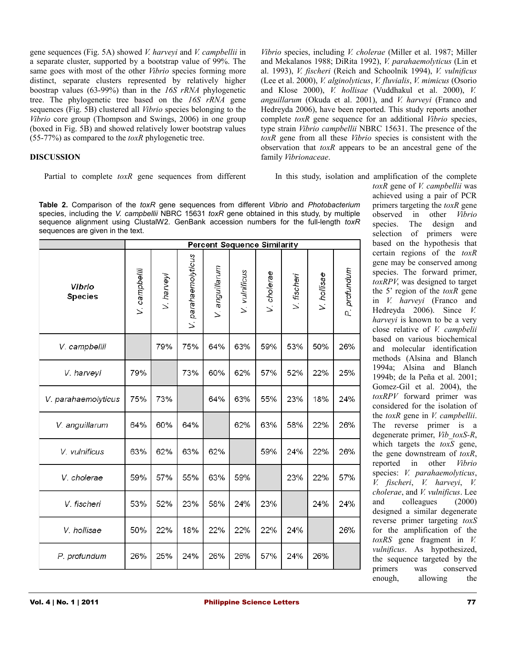gene sequences (Fig. 5A) showed *V. harveyi* and *V. campbellii* in a separate cluster, supported by a bootstrap value of 99%. The same goes with most of the other *Vibrio* species forming more distinct, separate clusters represented by relatively higher boostrap values (63-99%) than in the *16S rRNA* phylogenetic tree. The phylogenetic tree based on the *16S rRNA* gene sequences (Fig. 5B) clustered all *Vibrio* species belonging to the *Vibrio* core group (Thompson and Swings, 2006) in one group (boxed in Fig. 5B) and showed relatively lower bootstrap values (55-77%) as compared to the *toxR* phylogenetic tree.

# **DISCUSSION**

Partial to complete *toxR* gene sequences from different

*Vibrio* species, including *V. cholerae* (Miller et al. 1987; Miller and Mekalanos 1988; DiRita 1992), *V. parahaemolyticus* (Lin et al. 1993), *V. fischeri* (Reich and Schoolnik 1994), *V. vulnificus* (Lee et al. 2000), *V. alginolyticus*, *V. fluvialis*, *V. mimicus* (Osorio and Klose 2000), *V. hollisae* (Vuddhakul et al. 2000), *V. anguillarum* (Okuda et al. 2001), and *V. harveyi* (Franco and Hedreyda 2006), have been reported. This study reports another complete *toxR* gene sequence for an additional *Vibrio* species, type strain *Vibrio campbellii* NBRC 15631. The presence of the *toxR* gene from all these *Vibrio* species is consistent with the observation that *toxR* appears to be an ancestral gene of the family *Vibrionaceae*.

In this study, isolation and amplification of the complete

**Table 2.** Comparison of the *toxR* gene sequences from different *Vibrio* and *Photobacterium* species, including the *V. campbellii* NBRC 15631 *toxR* gene obtained in this study, by multiple sequence alignment using ClustalW2. GenBank accession numbers for the full-length *toxR* sequences are given in the text.

|                          | <b>Percent Sequence Similarity</b> |            |                     |                |               |             |             |             |              |  |  |  |
|--------------------------|------------------------------------|------------|---------------------|----------------|---------------|-------------|-------------|-------------|--------------|--|--|--|
| Vibrio<br><b>Species</b> | V. campbelli                       | V. harveyi | V. parahaemolyticus | V. anguillarum | V. vulnificus | V. cholerae | V. fischeri | V. hollisae | P. profundum |  |  |  |
| V. campbellii            |                                    | 79%        | 75%                 | 64%            | 63%           | 59%         | 53%         | 50%         | 26%          |  |  |  |
| V. harveyi               | 79%                                |            | 73%                 | 60%            | 62%           | 57%         | 52%         | 22%         | 25%          |  |  |  |
| V. parahaemolyticus      | 75%                                | 73%        |                     | 64%            | 63%           | 55%         | 23%         | 18%         | 24%          |  |  |  |
| V. anguillarum           | 64%                                | 60%        | 64%                 |                | 62%           | 63%         | 58%         | 22%         | 26%          |  |  |  |
| V. vulnificus            | 63%                                | 62%        | 63%                 | 62%            |               | 59%         | 24%         | 22%         | 26%          |  |  |  |
| V. cholerae              | 59%                                | 57%        | 55%                 | 63%            | 59%           |             | 23%         | 22%         | 57%          |  |  |  |
| V. fischeri              | 53%                                | 52%        | 23%                 | 58%            | 24%           | 23%         |             | 24%         | 24%          |  |  |  |
| V. hollisae              | 50%                                | 22%        | 18%                 | 22%            | 22%           | 22%         | 24%         |             | 26%          |  |  |  |
| P. profundum             | 26%                                | 25%        | 24%                 | 26%            | 26%           | 57%         | 24%         | 26%         |              |  |  |  |

*toxR* gene of *V. campbellii* was achieved using a pair of PCR primers targeting the *toxR* gene observed in other *Vibrio* species. The design and selection of primers were based on the hypothesis that certain regions of the *toxR* gene may be conserved among species. The forward primer, *toxRPV*, was designed to target the 5' region of the *toxR* gene in *V. harveyi* (Franco and Hedreyda 2006). Since *V. harveyi* is known to be a very close relative of *V. campbelii* based on various biochemical and molecular identification methods (Alsina and Blanch 1994a; Alsina and Blanch 1994b; de la Peña et al. 2001; Gomez-Gil et al. 2004), the *toxRPV* forward primer was considered for the isolation of the *toxR* gene in *V. campbellii*. The reverse primer is a degenerate primer, *Vib\_toxS-R*, which targets the *toxS* gene, the gene downstream of *toxR*, reported in other *Vibrio* species: *V. parahaemolyticus*, *V. fischeri*, *V. harveyi*, *V. cholerae*, and *V. vulnificus*. Lee and colleagues (2000) designed a similar degenerate reverse primer targeting *toxS* for the amplification of the *toxRS* gene fragment in *V. vulnificus*. As hypothesized, the sequence targeted by the primers was conserved enough, allowing the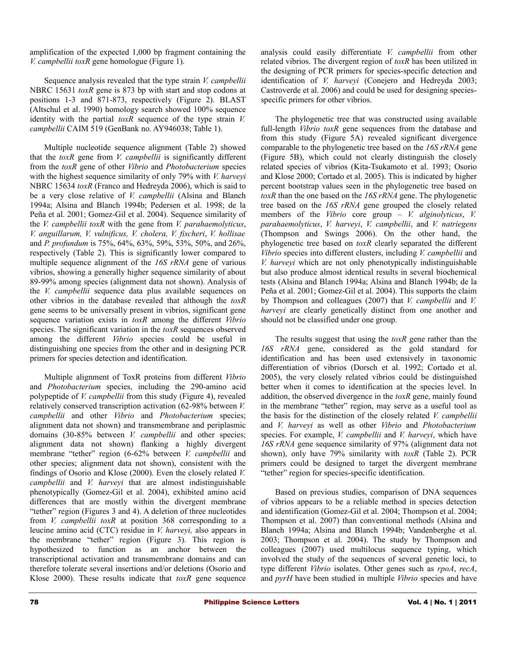amplification of the expected 1,000 bp fragment containing the *V. campbellii toxR* gene homologue (Figure 1).

Sequence analysis revealed that the type strain *V. campbellii* NBRC 15631 *toxR* gene is 873 bp with start and stop codons at positions 1-3 and 871-873, respectively (Figure 2). BLAST (Altschul et al. 1990) homology search showed 100% sequence identity with the partial *toxR* sequence of the type strain *V. campbellii* CAIM 519 (GenBank no. AY946038; Table 1).

Multiple nucleotide sequence alignment (Table 2) showed that the *toxR* gene from *V. campbellii* is significantly different from the *toxR* gene of other *Vibrio* and *Photobacterium* species with the highest sequence similarity of only 79% with *V. harveyi* NBRC 15634 *toxR* (Franco and Hedreyda 2006), which is said to be a very close relative of *V. campbellii* (Alsina and Blanch 1994a; Alsina and Blanch 1994b; Pedersen et al. 1998; de la Peña et al. 2001; Gomez-Gil et al. 2004). Sequence similarity of the *V. campbellii toxR* with the gene from *V. parahaemolyticus*, *V. anguillarum, V. vulnificus, V. cholera, V. fischeri*, *V. hollisae* and *P. profundum* is 75%, 64%, 63%, 59%, 53%, 50%, and 26%, respectively (Table 2). This is significantly lower compared to multiple sequence alignment of the *16S rRNA* gene of various vibrios, showing a generally higher sequence similarity of about 89-99% among species (alignment data not shown). Analysis of the *V. campbellii* sequence data plus available sequences on other vibrios in the database revealed that although the *toxR* gene seems to be universally present in vibrios, significant gene sequence variation exists in *toxR* among the different *Vibrio* species. The significant variation in the *toxR* sequences observed among the different *Vibrio* species could be useful in distinguishing one species from the other and in designing PCR primers for species detection and identification.

Multiple alignment of ToxR proteins from different *Vibrio* and *Photobacterium* species, including the 290-amino acid polypeptide of *V. campbellii* from this study (Figure 4), revealed relatively conserved transcription activation (62-98% between *V. campbellii* and other *Vibrio* and *Photobacterium* species; alignment data not shown) and transmembrane and periplasmic domains (30-85% between *V. campbellii* and other species; alignment data not shown) flanking a highly divergent membrane "tether" region (6-62% between *V. campbellii* and other species; alignment data not shown), consistent with the findings of Osorio and Klose (2000). Even the closely related *V. campbellii* and *V. harveyi* that are almost indistinguishable phenotypically (Gomez-Gil et al. 2004), exhibited amino acid differences that are mostly within the divergent membrane "tether" region (Figures 3 and 4). A deletion of three nucleotides from *V. campbellii toxR* at position 368 corresponding to a leucine amino acid (CTC) residue in *V. harveyi,* also appears in the membrane "tether" region (Figure 3). This region is hypothesized to function as an anchor between the transcriptional activation and transmembrane domains and can therefore tolerate several insertions and/or deletions (Osorio and Klose 2000). These results indicate that *toxR* gene sequence

analysis could easily differentiate *V. campbellii* from other related vibrios. The divergent region of *toxR* has been utilized in the designing of PCR primers for species-specific detection and identification of *V. harveyi* (Conejero and Hedreyda 2003; Castroverde et al. 2006) and could be used for designing speciesspecific primers for other vibrios.

The phylogenetic tree that was constructed using available full-length *Vibrio toxR* gene sequences from the database and from this study (Figure 5A) revealed significant divergence comparable to the phylogenetic tree based on the *16S rRNA* gene (Figure 5B), which could not clearly distinguish the closely related species of vibrios (Kita-Tsukamoto et al. 1993; Osorio and Klose 2000; Cortado et al. 2005). This is indicated by higher percent bootstrap values seen in the phylogenetic tree based on *toxR* than the one based on the *16S rRNA* gene. The phylogenetic tree based on the *16S rRNA* gene grouped the closely related members of the *Vibrio* core group – *V. alginolyticus*, *V. parahaemolyticus*, *V. harveyi*, *V. campbellii*, and *V. natriegens* (Thompson and Swings 2006). On the other hand, the phylogenetic tree based on *toxR* clearly separated the different *Vibrio* species into different clusters, including *V. campbellii* and *V. harveyi* which are not only phenotypically indistinguishable but also produce almost identical results in several biochemical tests (Alsina and Blanch 1994a; Alsina and Blanch 1994b; de la Peña et al. 2001; Gomez-Gil et al. 2004). This supports the claim by Thompson and colleagues (2007) that *V. campbellii* and *V. harveyi* are clearly genetically distinct from one another and should not be classified under one group.

The results suggest that using the *toxR* gene rather than the *16S rRNA* gene, considered as the gold standard for identification and has been used extensively in taxonomic differentiation of vibrios (Dorsch et al. 1992; Cortado et al. 2005), the very closely related vibrios could be distinguished better when it comes to identification at the species level. In addition, the observed divergence in the *toxR* gene, mainly found in the membrane "tether" region, may serve as a useful tool as the basis for the distinction of the closely related *V. campbellii* and *V. harveyi* as well as other *Vibrio* and *Photobacterium* species. For example, *V. campbellii* and *V. harveyi*, which have *16S rRNA* gene sequence similarity of 97% (alignment data not shown), only have 79% similarity with *toxR* (Table 2). PCR primers could be designed to target the divergent membrane "tether" region for species-specific identification.

Based on previous studies, comparison of DNA sequences of vibrios appears to be a reliable method in species detection and identification (Gomez-Gil et al. 2004; Thompson et al. 2004; Thompson et al. 2007) than conventional methods (Alsina and Blanch 1994a; Alsina and Blanch 1994b; Vandenberghe et al. 2003; Thompson et al. 2004). The study by Thompson and colleagues (2007) used multilocus sequence typing, which involved the study of the sequences of several genetic loci, to type different *Vibrio* isolates. Other genes such as *rpoA*, *recA*, and *pyrH* have been studied in multiple *Vibrio* species and have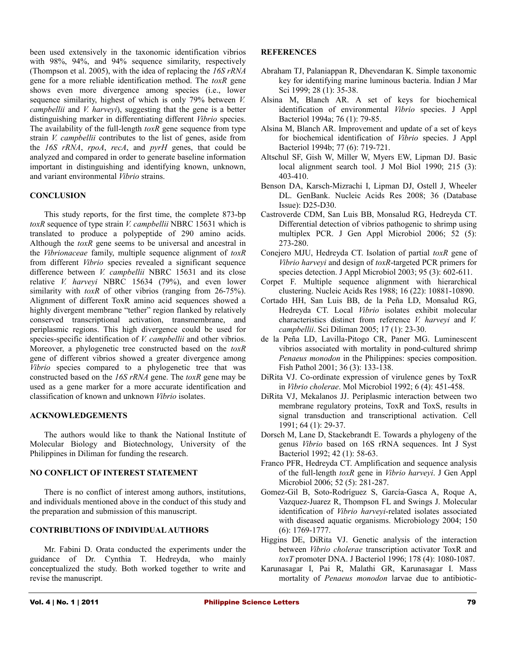been used extensively in the taxonomic identification vibrios with 98%, 94%, and 94% sequence similarity, respectively (Thompson et al. 2005), with the idea of replacing the *16S rRNA* gene for a more reliable identification method. The *toxR* gene shows even more divergence among species (i.e., lower sequence similarity, highest of which is only 79% between *V. campbellii* and *V. harveyi*), suggesting that the gene is a better distinguishing marker in differentiating different *Vibrio* species. The availability of the full-length *toxR* gene sequence from type strain *V. campbellii* contributes to the list of genes, aside from the *16S rRNA*, *rpoA*, *recA*, and *pyrH* genes, that could be analyzed and compared in order to generate baseline information important in distinguishing and identifying known, unknown, and variant environmental *Vibrio* strains.

# **CONCLUSION**

This study reports, for the first time, the complete 873-bp *toxR* sequence of type strain *V. campbellii* NBRC 15631 which is translated to produce a polypeptide of 290 amino acids. Although the *toxR* gene seems to be universal and ancestral in the *Vibrionaceae* family, multiple sequence alignment of *toxR* from different *Vibrio* species revealed a significant sequence difference between *V. campbellii* NBRC 15631 and its close relative *V. harveyi* NBRC 15634 (79%), and even lower similarity with *toxR* of other vibrios (ranging from 26-75%). Alignment of different ToxR amino acid sequences showed a highly divergent membrane "tether" region flanked by relatively conserved transcriptional activation, transmembrane, and periplasmic regions. This high divergence could be used for species-specific identification of *V. campbellii* and other vibrios. Moreover, a phylogenetic tree constructed based on the *toxR* gene of different vibrios showed a greater divergence among *Vibrio* species compared to a phylogenetic tree that was constructed based on the *16S rRNA* gene. The *toxR* gene may be used as a gene marker for a more accurate identification and classification of known and unknown *Vibrio* isolates.

# **ACKNOWLEDGEMENTS**

The authors would like to thank the National Institute of Molecular Biology and Biotechnology, University of the Philippines in Diliman for funding the research.

# **NO CONFLICT OF INTEREST STATEMENT**

There is no conflict of interest among authors, institutions, and individuals mentioned above in the conduct of this study and the preparation and submission of this manuscript.

# **CONTRIBUTIONS OF INDIVIDUAL AUTHORS**

Mr. Fabini D. Orata conducted the experiments under the guidance of Dr. Cynthia T. Hedreyda, who mainly conceptualized the study. Both worked together to write and revise the manuscript.

#### **REFERENCES**

- Abraham TJ, Palaniappan R, Dhevendaran K. Simple taxonomic key for identifying marine luminous bacteria. Indian J Mar Sci 1999; 28 (1): 35-38.
- Alsina M, Blanch AR. A set of keys for biochemical identification of environmental *Vibrio* species. J Appl Bacteriol 1994a; 76 (1): 79-85.
- Alsina M, Blanch AR. Improvement and update of a set of keys for biochemical identification of *Vibrio* species. J Appl Bacteriol 1994b; 77 (6): 719-721.
- Altschul SF, Gish W, Miller W, Myers EW, Lipman DJ. Basic local alignment search tool. J Mol Biol 1990; 215 (3): 403-410.
- Benson DA, Karsch-Mizrachi I, Lipman DJ, Ostell J, Wheeler DL. GenBank. Nucleic Acids Res 2008; 36 (Database Issue): D25-D30.
- Castroverde CDM, San Luis BB, Monsalud RG, Hedreyda CT. Differential detection of vibrios pathogenic to shrimp using multiplex PCR. J Gen Appl Microbiol 2006; 52 (5): 273-280.
- Conejero MJU, Hedreyda CT. Isolation of partial *toxR* gene of *Vibrio harveyi* and design of *toxR*-targeted PCR primers for species detection. J Appl Microbiol 2003; 95 (3): 602-611.
- Corpet F. Multiple sequence alignment with hierarchical clustering. Nucleic Acids Res 1988; 16 (22): 10881-10890.
- Cortado HH, San Luis BB, de la Peña LD, Monsalud RG, Hedreyda CT. Local *Vibrio* isolates exhibit molecular characteristics distinct from reference *V. harveyi* and *V. campbellii*. Sci Diliman 2005; 17 (1): 23-30.
- de la Peña LD, Lavilla-Pitogo CR, Paner MG. Luminescent vibrios associated with mortality in pond-cultured shrimp *Penaeus monodon* in the Philippines: species composition. Fish Pathol 2001; 36 (3): 133-138.
- DiRita VJ. Co-ordinate expression of virulence genes by ToxR in *Vibrio cholerae*. Mol Microbiol 1992; 6 (4): 451-458.
- DiRita VJ, Mekalanos JJ. Periplasmic interaction between two membrane regulatory proteins, ToxR and ToxS, results in signal transduction and transcriptional activation. Cell 1991; 64 (1): 29-37.
- Dorsch M, Lane D, Stackebrandt E. Towards a phylogeny of the genus *Vibrio* based on 16S rRNA sequences. Int J Syst Bacteriol 1992; 42 (1): 58-63.
- Franco PFR, Hedreyda CT. Amplification and sequence analysis of the full-length *toxR* gene in *Vibrio harveyi*. J Gen Appl Microbiol 2006; 52 (5): 281-287.
- Gomez-Gil B, Soto-Rodríguez S, García-Gasca A, Roque A, Vazquez-Juarez R, Thompson FL and Swings J. Molecular identification of *Vibrio harveyi*-related isolates associated with diseased aquatic organisms. Microbiology 2004; 150 (6): 1769-1777.
- Higgins DE, DiRita VJ. Genetic analysis of the interaction between *Vibrio cholerae* transcription activator ToxR and *toxT* promoter DNA. J Bacteriol 1996; 178 (4): 1080-1087.
- Karunasagar I, Pai R, Malathi GR, Karunasagar I. Mass mortality of *Penaeus monodon* larvae due to antibiotic-